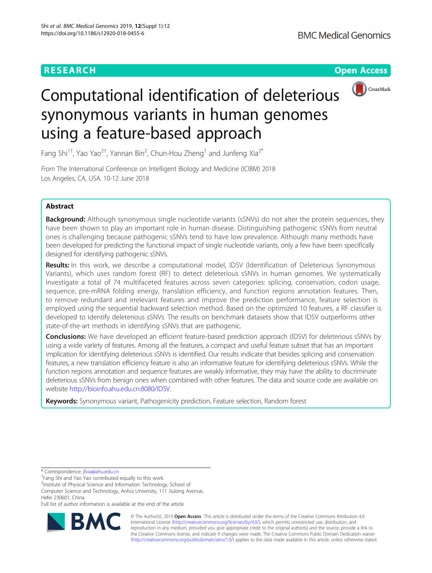# **RESEARCH CHINESE ARCH CHINESE ARCHITECT AND ACCESS**



# Computational identification of deleterious synonymous variants in human genomes using a feature-based approach

Fang Shi<sup>1†</sup>, Yao Yao<sup>2†</sup>, Yannan Bin<sup>2</sup>, Chun-Hou Zheng<sup>1</sup> and Junfeng Xia<sup>2\*</sup>

From The International Conference on Intelligent Biology and Medicine (ICIBM) 2018 Los Angeles, CA, USA. 10-12 June 2018

# Abstract

**Background:** Although synonymous single nucleotide variants (sSNVs) do not alter the protein sequences, they have been shown to play an important role in human disease. Distinguishing pathogenic sSNVs from neutral ones is challenging because pathogenic sSNVs tend to have low prevalence. Although many methods have been developed for predicting the functional impact of single nucleotide variants, only a few have been specifically designed for identifying pathogenic sSNVs.

Results: In this work, we describe a computational model, IDSV (Identification of Deleterious Synonymous Variants), which uses random forest (RF) to detect deleterious sSNVs in human genomes. We systematically investigate a total of 74 multifaceted features across seven categories: splicing, conservation, codon usage, sequence, pre-mRNA folding energy, translation efficiency, and function regions annotation features. Then, to remove redundant and irrelevant features and improve the prediction performance, feature selection is employed using the sequential backward selection method. Based on the optimized 10 features, a RF classifier is developed to identify deleterious sSNVs. The results on benchmark datasets show that IDSV outperforms other state-of-the-art methods in identifying sSNVs that are pathogenic.

**Conclusions:** We have developed an efficient feature-based prediction approach (IDSV) for deleterious sSNVs by using a wide variety of features. Among all the features, a compact and useful feature subset that has an important implication for identifying deleterious sSNVs is identified. Our results indicate that besides splicing and conservation features, a new translation efficiency feature is also an informative feature for identifying deleterious sSNVs. While the function regions annotation and sequence features are weakly informative, they may have the ability to discriminate deleterious sSNVs from benign ones when combined with other features. The data and source code are available on website <http://bioinfo.ahu.edu.cn:8080/IDSV>.

Keywords: Synonymous variant, Pathogenicity prediction, Feature selection, Random forest

Computer Science and Technology, Anhui University, 111 Jiulong Avenue, Hefei 230601, China

Full list of author information is available at the end of the article



© The Author(s). 2019 **Open Access** This article is distributed under the terms of the Creative Commons Attribution 4.0 International License [\(http://creativecommons.org/licenses/by/4.0/](http://creativecommons.org/licenses/by/4.0/)), which permits unrestricted use, distribution, and reproduction in any medium, provided you give appropriate credit to the original author(s) and the source, provide a link to the Creative Commons license, and indicate if changes were made. The Creative Commons Public Domain Dedication waiver [\(http://creativecommons.org/publicdomain/zero/1.0/](http://creativecommons.org/publicdomain/zero/1.0/)) applies to the data made available in this article, unless otherwise stated.

<sup>\*</sup> Correspondence: [jfxia@ahu.edu.cn](mailto:jfxia@ahu.edu.cn) †

Fang Shi and Yao Yao contributed equally to this work.

<sup>&</sup>lt;sup>2</sup>Institute of Physical Science and Information Technology, School of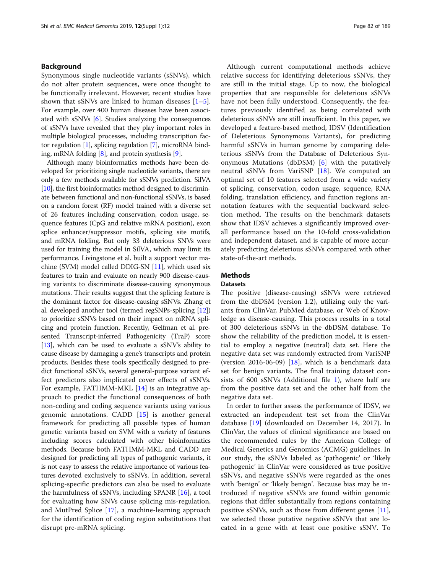## Background

Synonymous single nucleotide variants (sSNVs), which do not alter protein sequences, were once thought to be functionally irrelevant. However, recent studies have shown that sSNVs are linked to human diseases  $[1-5]$  $[1-5]$  $[1-5]$  $[1-5]$  $[1-5]$ . For example, over 400 human diseases have been associated with sSNVs [\[6](#page-6-0)]. Studies analyzing the consequences of sSNVs have revealed that they play important roles in multiple biological processes, including transcription factor regulation [\[1](#page-6-0)], splicing regulation [[7\]](#page-6-0), microRNA binding, mRNA folding [\[8](#page-6-0)], and protein synthesis [[9](#page-6-0)].

Although many bioinformatics methods have been developed for prioritizing single nucleotide variants, there are only a few methods available for sSNVs prediction. SilVA [[10](#page-6-0)], the first bioinformatics method designed to discriminate between functional and non-functional sSNVs, is based on a random forest (RF) model trained with a diverse set of 26 features including conservation, codon usage, sequence features (CpG and relative mRNA position), exon splice enhancer/suppressor motifs, splicing site motifs, and mRNA folding. But only 33 deleterious SNVs were used for training the model in SilVA, which may limit its performance. Livingstone et al. built a support vector machine (SVM) model called DDIG-SN [[11](#page-6-0)], which used six features to train and evaluate on nearly 900 disease-causing variants to discriminate disease-causing synonymous mutations. Their results suggest that the splicing feature is the dominant factor for disease-causing sSNVs. Zhang et al. developed another tool (termed regSNPs-splicing [[12](#page-6-0)]) to prioritize sSNVs based on their impact on mRNA splicing and protein function. Recently, Gelfman et al. presented Transcript-inferred Pathogenicity (TraP) score [[13](#page-6-0)], which can be used to evaluate a sSNV's ability to cause disease by damaging a gene's transcripts and protein products. Besides these tools specifically designed to predict functional sSNVs, several general-purpose variant effect predictors also implicated cover effects of sSNVs. For example, FATHMM-MKL [[14\]](#page-6-0) is an integrative approach to predict the functional consequences of both non-coding and coding sequence variants using various genomic annotations. CADD [[15\]](#page-6-0) is another general framework for predicting all possible types of human genetic variants based on SVM with a variety of features including scores calculated with other bioinformatics methods. Because both FATHMM-MKL and CADD are designed for predicting all types of pathogenic variants, it is not easy to assess the relative importance of various features devoted exclusively to sSNVs. In addition, several splicing-specific predictors can also be used to evaluate the harmfulness of sSNVs, including SPANR [\[16\]](#page-6-0), a tool for evaluating how SNVs cause splicing mis-regulation, and MutPred Splice [\[17](#page-7-0)], a machine-learning approach for the identification of coding region substitutions that disrupt pre-mRNA splicing.

Although current computational methods achieve relative success for identifying deleterious sSNVs, they are still in the initial stage. Up to now, the biological properties that are responsible for deleterious sSNVs have not been fully understood. Consequently, the features previously identified as being correlated with deleterious sSNVs are still insufficient. In this paper, we developed a feature-based method, IDSV (Identification of Deleterious Synonymous Variants), for predicting harmful sSNVs in human genome by comparing deleterious sSNVs from the Database of Deleterious Synonymous Mutations (dbDSM) [[6\]](#page-6-0) with the putatively neutral sSNVs from VariSNP [[18\]](#page-7-0). We computed an optimal set of 10 features selected from a wide variety of splicing, conservation, codon usage, sequence, RNA folding, translation efficiency, and function regions annotation features with the sequential backward selection method. The results on the benchmark datasets show that IDSV achieves a significantly improved overall performance based on the 10-fold cross-validation and independent dataset, and is capable of more accurately predicting deleterious sSNVs compared with other state-of-the-art methods.

# **Methods**

#### Datasets

The positive (disease-causing) sSNVs were retrieved from the dbDSM (version 1.2), utilizing only the variants from ClinVar, PubMed database, or Web of Knowledge as disease-causing. This process results in a total of 300 deleterious sSNVs in the dbDSM database. To show the reliability of the prediction model, it is essential to employ a negative (neutral) data set. Here the negative data set was randomly extracted from VariSNP (version 2016-06-09)  $[18]$  $[18]$ , which is a benchmark data set for benign variants. The final training dataset consists of 600 sSNVs (Additional file [1\)](#page-6-0), where half are from the positive data set and the other half from the negative data set.

In order to further assess the performance of IDSV, we extracted an independent test set from the ClinVar database [[19\]](#page-7-0) (downloaded on December 14, 2017). In ClinVar, the values of clinical significance are based on the recommended rules by the American College of Medical Genetics and Genomics (ACMG) guidelines. In our study, the sSNVs labeled as 'pathogenic' or 'likely pathogenic' in ClinVar were considered as true positive sSNVs, and negative sSNVs were regarded as the ones with 'benign' or 'likely benign'. Because bias may be introduced if negative sSNVs are found within genomic regions that differ substantially from regions containing positive sSNVs, such as those from different genes [\[11](#page-6-0)], we selected those putative negative sSNVs that are located in a gene with at least one positive sSNV. To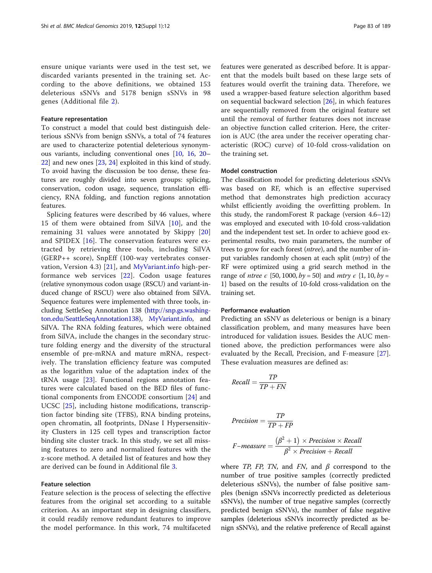ensure unique variants were used in the test set, we discarded variants presented in the training set. According to the above definitions, we obtained 153 deleterious sSNVs and 5178 benign sSNVs in 98 genes (Additional file [2\)](#page-6-0).

#### Feature representation

To construct a model that could best distinguish deleterious sSNVs from benign sSNVs, a total of 74 features are used to characterize potential deleterious synonymous variants, including conventional ones [\[10](#page-6-0), [16,](#page-6-0) [20](#page-7-0)– [22\]](#page-7-0) and new ones [[23,](#page-7-0) [24\]](#page-7-0) exploited in this kind of study. To avoid having the discussion be too dense, these features are roughly divided into seven groups: splicing, conservation, codon usage, sequence, translation efficiency, RNA folding, and function regions annotation features.

Splicing features were described by 46 values, where 15 of them were obtained from SilVA [[10](#page-6-0)], and the remaining 31 values were annotated by Skippy [[20](#page-7-0)] and SPIDEX [[16\]](#page-6-0). The conservation features were extracted by retrieving three tools, including SilVA (GERP++ score), SnpEff (100-way vertebrates conservation, Version 4.3) [\[21](#page-7-0)], and [MyVariant.info](http://myvariant.info) high-performance web services [[22](#page-7-0)]. Codon usage features (relative synonymous codon usage (RSCU) and variant-induced change of RSCU) were also obtained from SilVA. Sequence features were implemented with three tools, including SettleSeq Annotation 138 [\(http://snp.gs.washing](http://snp.gs.washington.edu/SeattleSeqAnnotation138)[ton.edu/SeattleSeqAnnotation138](http://snp.gs.washington.edu/SeattleSeqAnnotation138)), [MyVariant.info](http://myvariant.info), and SilVA. The RNA folding features, which were obtained from SilVA, include the changes in the secondary structure folding energy and the diversity of the structural ensemble of pre-mRNA and mature mRNA, respectively. The translation efficiency feature was computed as the logarithm value of the adaptation index of the tRNA usage [[23\]](#page-7-0). Functional regions annotation features were calculated based on the BED files of functional components from ENCODE consortium [[24\]](#page-7-0) and UCSC [[25\]](#page-7-0), including histone modifications, transcription factor binding site (TFBS), RNA binding proteins, open chromatin, all footprints, DNase I Hypersensitivity Clusters in 125 cell types and transcription factor binding site cluster track. In this study, we set all missing features to zero and normalized features with the z-score method. A detailed list of features and how they are derived can be found in Additional file [3](#page-6-0).

#### Feature selection

Feature selection is the process of selecting the effective features from the original set according to a suitable criterion. As an important step in designing classifiers, it could readily remove redundant features to improve the model performance. In this work, 74 multifaceted features were generated as described before. It is apparent that the models built based on these large sets of features would overfit the training data. Therefore, we used a wrapper-based feature selection algorithm based on sequential backward selection [[26\]](#page-7-0), in which features are sequentially removed from the original feature set until the removal of further features does not increase an objective function called criterion. Here, the criterion is AUC (the area under the receiver operating characteristic (ROC) curve) of 10-fold cross-validation on the training set.

#### Model construction

The classification model for predicting deleterious sSNVs was based on RF, which is an effective supervised method that demonstrates high prediction accuracy whilst efficiently avoiding the overfitting problem. In this study, the randomForest R package (version 4.6–12) was employed and executed with 10-fold cross-validation and the independent test set. In order to achieve good experimental results, two main parameters, the number of trees to grow for each forest (ntree), and the number of input variables randomly chosen at each split (mtry) of the RF were optimized using a grid search method in the range of *ntree*  $\epsilon$  {50, 1000,  $by = 50$ } and *mtry*  $\epsilon$  {1, 10,  $by =$ 1} based on the results of 10-fold cross-validation on the training set.

#### Performance evaluation

Predicting an sSNV as deleterious or benign is a binary classification problem, and many measures have been introduced for validation issues. Besides the AUC mentioned above, the prediction performances were also evaluated by the Recall, Precision, and F-measure [[27](#page-7-0)]. These evaluation measures are defined as:

$$
Recall = \frac{TP}{TP + FN}
$$

$$
Precision = \frac{TP}{TP + FP}
$$
  
F-measure = 
$$
\frac{(\beta^2 + 1) \times Precision \times Recall}{\beta^2 \times Precision + Recall}
$$

where *TP*, *FP*, *TN*, and *FN*, and  $\beta$  correspond to the number of true positive samples (correctly predicted deleterious sSNVs), the number of false positive samples (benign sSNVs incorrectly predicted as deleterious sSNVs), the number of true negative samples (correctly predicted benign sSNVs), the number of false negative samples (deleterious sSNVs incorrectly predicted as benign sSNVs), and the relative preference of Recall against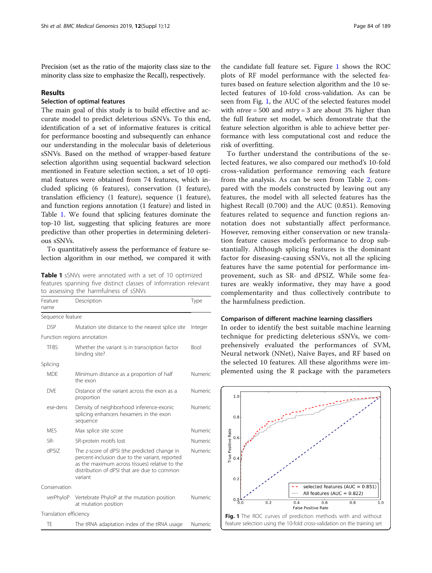Precision (set as the ratio of the majority class size to the minority class size to emphasize the Recall), respectively.

#### Results

# Selection of optimal features

The main goal of this study is to build effective and accurate model to predict deleterious sSNVs. To this end, identification of a set of informative features is critical for performance boosting and subsequently can enhance our understanding in the molecular basis of deleterious sSNVs. Based on the method of wrapper-based feature selection algorithm using sequential backward selection mentioned in Feature selection section, a set of 10 optimal features were obtained from 74 features, which included splicing (6 features), conservation (1 feature), translation efficiency (1 feature), sequence (1 feature), and function regions annotation (1 feature) and listed in Table 1. We found that splicing features dominate the top-10 list, suggesting that splicing features are more predictive than other properties in determining deleterious sSNVs.

To quantitatively assess the performance of feature selection algorithm in our method, we compared it with

Table 1 sSNVs were annotated with a set of 10 optimized features spanning five distinct classes of infomration relevant to assessing the harmfulness of sSNVs

| Feature<br>name        | Description                                                                                                                                                                                                | Type        |
|------------------------|------------------------------------------------------------------------------------------------------------------------------------------------------------------------------------------------------------|-------------|
| Sequence feature       |                                                                                                                                                                                                            |             |
| <b>DSP</b>             | Mutation site distance to the nearest splice site                                                                                                                                                          | Integer     |
|                        | Function regions annotation                                                                                                                                                                                |             |
| <b>TFBS</b>            | Whether the variant is in transcription factor<br>binding site?                                                                                                                                            | <b>Bool</b> |
| Splicing               |                                                                                                                                                                                                            |             |
| <b>MDF</b>             | Minimum distance as a proportion of half<br>the exon                                                                                                                                                       | Numeric     |
| <b>DVF</b>             | Distance of the variant across the exon as a<br>proportion                                                                                                                                                 | Numeric     |
| ese-dens               | Density of neighborhood inference-exonic<br>splicing enhancers hexamers in the exon<br>sequence                                                                                                            | Numeric     |
| <b>MFS</b>             | Max splice site score                                                                                                                                                                                      | Numeric     |
| SR-                    | SR-protein motifs lost                                                                                                                                                                                     | Numeric     |
| dPSIZ                  | The z-score of dPSI (the predicted change in<br>percent-inclusion due to the variant, reported<br>as the maximum across tissues) relative to the<br>distribution of dPSI that are due to common<br>variant | Numeric     |
| Conservation           |                                                                                                                                                                                                            |             |
| verPhyloP              | Vertebrate PhyloP at the mutation position<br>at mutation position                                                                                                                                         | Numeric     |
| Translation efficiency |                                                                                                                                                                                                            |             |
| TE                     | The tRNA adaptation index of the tRNA usage                                                                                                                                                                | Numeric     |

the candidate full feature set. Figure 1 shows the ROC plots of RF model performance with the selected features based on feature selection algorithm and the 10 selected features of 10-fold cross-validation. As can be seen from Fig. 1, the AUC of the selected features model with  $ntree = 500$  and  $mtry = 3$  are about 3% higher than the full feature set model, which demonstrate that the feature selection algorithm is able to achieve better performance with less computational cost and reduce the risk of overfitting.

To further understand the contributions of the selected features, we also compared our method's 10-fold cross-validation performance removing each feature from the analysis. As can be seen from Table [2,](#page-4-0) compared with the models constructed by leaving out any features, the model with all selected features has the highest Recall (0.700) and the AUC (0.851). Removing features related to sequence and function regions annotation does not substantially affect performance. However, removing either conservation or new translation feature causes model's performance to drop substantially. Although splicing features is the dominant factor for diseasing-causing sSNVs, not all the splicing features have the same potential for performance improvement, such as SR- and dPSIZ. While some features are weakly informative, they may have a good complementarity and thus collectively contribute to the harmfulness prediction.

#### Comparison of different machine learning classifiers

In order to identify the best suitable machine learning technique for predicting deleterious sSNVs, we comprehensively evaluated the performances of SVM, Neural network (NNet), Naive Bayes, and RF based on the selected 10 features. All these algorithms were implemented using the R package with the parameters

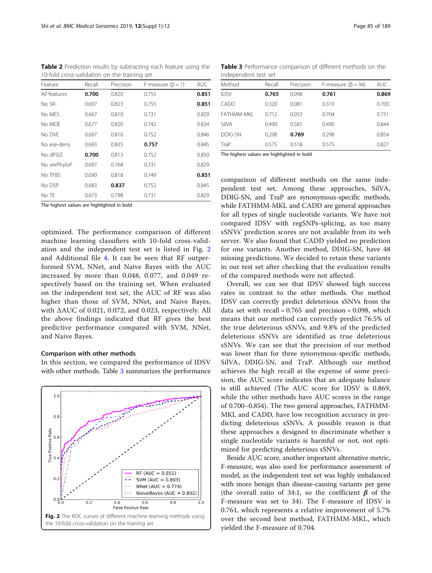<span id="page-4-0"></span>Table 2 Prediction results by subtracting each feature using the 10-fold cross-validation on the training set

| Feature      | Recall | Precision | F-measure $(\beta = 1)$ | <b>AUC</b> |
|--------------|--------|-----------|-------------------------|------------|
| All features | 0.700  | 0.820     | 0.755                   | 0.851      |
| No SR-       | 0.697  | 0.823     | 0.755                   | 0.851      |
| No MES       | 0.667  | 0.810     | 0.731                   | 0.829      |
| No MDF       | 0.677  | 0.820     | 0.742                   | 0.834      |
| No DVF       | 0.697  | 0.816     | 0.752                   | 0.846      |
| No ese-dens  | 0.693  | 0.835     | 0.757                   | 0.845      |
| No dPSIZ     | 0.700  | 0.813     | 0.752                   | 0.850      |
| No verPhyloP | 0.697  | 0.768     | 0.731                   | 0.829      |
| No TFBS      | 0.690  | 0.818     | 0.749                   | 0.851      |
| No DSP       | 0.683  | 0.837     | 0.752                   | 0.845      |
| No TE        | 0.673  | 0.798     | 0.731                   | 0.829      |

The highest values are highlighted in bold

optimized. The performance comparison of different machine learning classifiers with 10-fold cross-validation and the independent test set is listed in Fig. 2 and Additional file [4](#page-6-0). It can be seen that RF outperformed SVM, NNet, and Naive Bayes with the AUC increased by more than 0.048, 0.077, and 0.049 respectively based on the training set. When evaluated on the independent test set, the AUC of RF was also higher than those of SVM, NNet, and Naive Bayes, with ΔAUC of 0.021, 0.072, and 0.023, respectively. All the above findings indicated that RF gives the best predictive performance compared with SVM, NNet, and Naive Bayes.

#### Comparison with other methods

In this section, we compared the performance of IDSV with other methods. Table 3 summarizes the performance



Table 3 Performance comparison of different methods on the independent test set

| machenaeur teacher |        |           |                           |            |  |  |
|--------------------|--------|-----------|---------------------------|------------|--|--|
| Method             | Recall | Precision | F-measure ( $\beta$ = 34) | <b>AUC</b> |  |  |
| <b>IDSV</b>        | 0.765  | 0.098     | 0.761                     | 0.869      |  |  |
| CADD               | 0.320  | 0.081     | 0.319                     | 0.700      |  |  |
| FATHMM-MKI         | 0.712  | 0.053     | 0.704                     | 0.751      |  |  |
| SilVA              | 0.490  | 0.581     | 0.490                     | 0.844      |  |  |
| DDIG-SN            | 0.298  | 0.789     | 0.298                     | 0.854      |  |  |
| TraP               | 0.575  | 0.518     | 0.575                     | 0.827      |  |  |
|                    |        | .         |                           |            |  |  |

The highest values are highlighted in bold

comparison of different methods on the same independent test set. Among these approaches, SilVA, DDIG-SN, and TraP are synonymous-specific methods, while FATHMM-MKL and CADD are general approaches for all types of single nucleotide variants. We have not compared IDSV with regSNPs-splicing, as too many sSNVs' prediction scores are not available from its web server. We also found that CADD yielded no prediction for one variants. Another method, DDIG-SN, have 48 missing predictions. We decided to retain these variants in our test set after checking that the evaluation results of the compared methods were not affected.

Overall, we can see that IDSV showed high success rates in contrast to the other methods. Our method IDSV can correctly predict deleterious sSNVs from the data set with  $recall = 0.765$  and  $precision = 0.098$ , which means that our method can correctly predict 76.5% of the true deleterious sSNVs, and 9.8% of the predicted deleterious sSNVs are identified as true deleterious sSNVs. We can see that the precision of our method was lower than for three synonymous-specific methods, SilVA, DDIG-SN, and TraP. Although our method achieves the high recall at the expense of some precision, the AUC score indicates that an adequate balance is still achieved (The AUC score for IDSV is 0.869, while the other methods have AUC scores in the range of 0.700–0.854). The two general approaches, FATHMM-MKL and CADD, have low recognition accuracy in predicting deleterious sSNVs. A possible reason is that these approaches a designed to discriminate whether a single nucleotide variants is harmful or not, not optimized for predicting deleterious sSNVs.

Beside AUC score, another important alternative metric, F-measure, was also used for performance assessment of model, as the independent test set was highly imbalanced with more benign than disease-causing variants per gene (the overall ratio of 34:1, so the coefficient  $\beta$  of the F-measure was set to 34). The F-measure of IDSV is 0.761, which represents a relative improvement of 5.7% over the second best method, FATHMM-MKL, which yielded the F-measure of 0.704.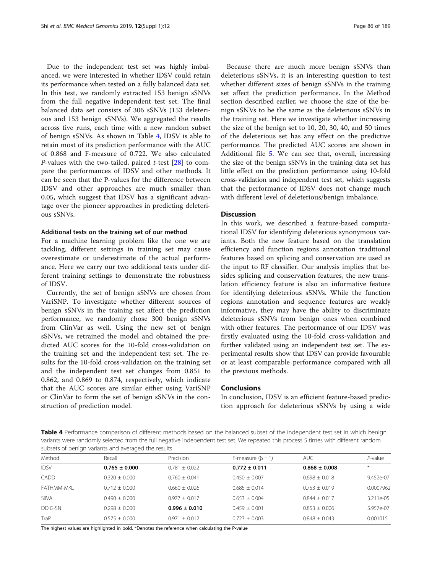Due to the independent test set was highly imbalanced, we were interested in whether IDSV could retain its performance when tested on a fully balanced data set. In this test, we randomly extracted 153 benign sSNVs from the full negative independent test set. The final balanced data set consists of 306 sSNVs (153 deleterious and 153 benign sSNVs). We aggregated the results across five runs, each time with a new random subset of benign sSNVs. As shown in Table 4, IDSV is able to retain most of its prediction performance with the AUC of 0.868 and F-measure of 0.722. We also calculated *P*-values with the two-tailed, paired *t*-test [[28\]](#page-7-0) to compare the performances of IDSV and other methods. It can be seen that the P-values for the difference between IDSV and other approaches are much smaller than 0.05, which suggest that IDSV has a significant advantage over the pioneer approaches in predicting deleterious sSNVs.

#### Additional tests on the training set of our method

For a machine learning problem like the one we are tackling, different settings in training set may cause overestimate or underestimate of the actual performance. Here we carry our two additional tests under different training settings to demonstrate the robustness of IDSV.

Currently, the set of benign sSNVs are chosen from VariSNP. To investigate whether different sources of benign sSNVs in the training set affect the prediction performance, we randomly chose 300 benign sSNVs from ClinVar as well. Using the new set of benign sSNVs, we retrained the model and obtained the predicted AUC scores for the 10-fold cross-validation on the training set and the independent test set. The results for the 10-fold cross-validation on the training set and the independent test set changes from 0.851 to 0.862, and 0.869 to 0.874, respectively, which indicate that the AUC scores are similar either using VariSNP or ClinVar to form the set of benign sSNVs in the construction of prediction model.

Because there are much more benign sSNVs than deleterious sSNVs, it is an interesting question to test whether different sizes of benign sSNVs in the training set affect the prediction performance. In the Method section described earlier, we choose the size of the benign sSNVs to be the same as the deleterious sSNVs in the training set. Here we investigate whether increasing the size of the benign set to 10, 20, 30, 40, and 50 times of the deleterious set has any effect on the predictive performance. The predicted AUC scores are shown in Additional file [5.](#page-6-0) We can see that, overall, increasing the size of the benign sSNVs in the training data set has little effect on the prediction performance using 10-fold cross-validation and independent test set, which suggests that the performance of IDSV does not change much with different level of deleterious/benign imbalance.

## **Discussion**

In this work, we described a feature-based computational IDSV for identifying deleterious synonymous variants. Both the new feature based on the translation efficiency and function regions annotation traditional features based on splicing and conservation are used as the input to RF classifier. Our analysis implies that besides splicing and conservation features, the new translation efficiency feature is also an informative feature for identifying deleterious sSNVs. While the function regions annotation and sequence features are weakly informative, they may have the ability to discriminate deleterious sSNVs from benign ones when combined with other features. The performance of our IDSV was firstly evaluated using the 10-fold cross-validation and further validated using an independent test set. The experimental results show that IDSV can provide favourable or at least comparable performance compared with all the previous methods.

#### Conclusions

In conclusion, IDSV is an efficient feature-based prediction approach for deleterious sSNVs by using a wide

Table 4 Performance comparison of different methods based on the balanced subset of the independent test set in which benign variants were randomly selected from the full negative independent test set. We repeated this process 5 times with different random subsets of benign variants and averaged the results

| Method      | Recall            | Precision         | F-measure $(\beta = 1)$ | <b>AUC</b>        | $P$ -value |
|-------------|-------------------|-------------------|-------------------------|-------------------|------------|
| <b>IDSV</b> | $0.765 \pm 0.000$ | $0.781 + 0.022$   | $0.772 \pm 0.011$       | $0.868 \pm 0.008$ | $*$        |
| <b>CADD</b> | $0.320 + 0.000$   | $0.760 + 0.041$   | $0.450 + 0.007$         | $0.698 + 0.018$   | 9.452e-07  |
| FATHMM-MKI  | $0.712 \pm 0.000$ | $0.660 \pm 0.026$ | $0.685 + 0.014$         | $0.753 + 0.019$   | 0.0007962  |
| SilVA       | $0.490 + 0.000$   | $0.977 + 0.017$   | $0.653 + 0.004$         | $0.844 + 0.017$   | 3.211e-05  |
| DDIG-SN     | $0.298 + 0.000$   | $0.996 \pm 0.010$ | $0.459 + 0.001$         | $0.853 + 0.006$   | 5.957e-07  |
| TraP        | $0.575 \pm 0.000$ | $0.971 \pm 0.012$ | $0.723 \pm 0.003$       | $0.848 \pm 0.043$ | 0.001015   |

The highest values are highlighted in bold. \*Denotes the reference when calculating the P-value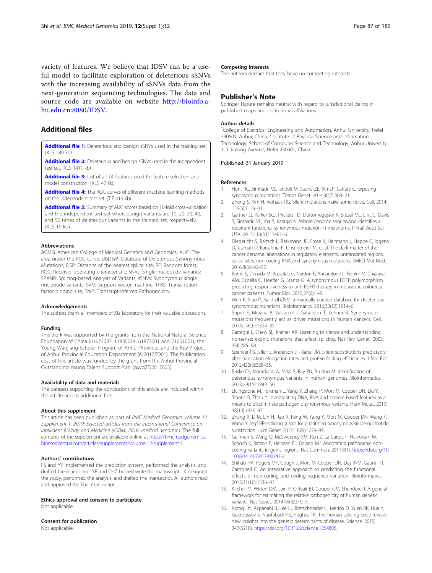<span id="page-6-0"></span>variety of features. We believe that IDSV can be a useful model to facilitate exploration of deleterious sSNVs with the increasing availability of sSNVs data from the next-generation sequencing technologies. The data and source code are available on website [http://bioinfo.a](http://bioinfo.ahu.edu.cn:8080/IDSV)[hu.edu.cn:8080/IDSV.](http://bioinfo.ahu.edu.cn:8080/IDSV)

# Additional files

[Additional file 1:](https://doi.org/10.1186/s12920-018-0455-6) Deleterious and benign sSNVs used in the training set. (XLS 180 kb)

[Additional file 2:](https://doi.org/10.1186/s12920-018-0455-6) Deleterious and benign sSNVs used in the independent test set. (XLS 1411 kb)

[Additional file 3:](https://doi.org/10.1186/s12920-018-0455-6) List of all 74 features used for feature selection and model construction. (XLS 47 kb)

[Additional file 4:](https://doi.org/10.1186/s12920-018-0455-6) The ROC curves of different machine learning methods on the independent test set. (TIF 416 kb)

[Additional file 5:](https://doi.org/10.1186/s12920-018-0455-6) Summary of AUC scores based on 10-fold cross-validation and the independent test set when benign variants are 10, 20, 30, 40, and 50 times of deleterious variants in the training set, respectively. (XLS 19 kb)

#### Abbreviations

ACMG: American College of Medical Genetics and Genomics; AUC: The area under the ROC curve; dbDSM: Database of Deleterious Synonymous Mutations; DSP: Distance of the nearest splice site; RF: Random forest; ROC: Receiver operating characteristic; SNVs: Single nucleotide variants; SPANR: Splicing-based Analysis of Variants; sSNVs: Synonymous single nucleotide variants; SVM: Support vector machine; TFBS: Transcription factor binding site; TraP: Transcript-inferred Pathogenicity

#### Acknowledgements

The authors thank all members of Xia laboratory for their valuable discussions.

#### Funding

This work was supported by the grants from the National Natural Science Foundation of China (61672037, 11835014, 61873001 and 21601001), the Young Wanjiang Scholar Program of Anhui Province, and the Key Project of Anhui Provincial Education Department (KJ2017ZD01). The Publication cost of this article was funded by the grant from the Anhui Provincial Outstanding Young Talent Support Plan (gxyqZD2017005).

#### Availability of data and materials

The datasets supporting the conclusions of this article are included within the article and its additional files.

#### About this supplement

This article has been published as part of BMC Medical Genomics Volume 12 Supplement 1, 2019: Selected articles from the International Conference on Intelligent Biology and Medicine (ICIBM) 2018: medical genomics. The full contents of the supplement are available online at [https://bmcmedgenomics.](https://bmcmedgenomics.biomedcentral.com/articles/supplements/volume-12-supplement-1) [biomedcentral.com/articles/supplements/volume-12-supplement-1](https://bmcmedgenomics.biomedcentral.com/articles/supplements/volume-12-supplement-1).

#### Authors' contributions

FS and YY implemented the prediction system, performed the analysis, and drafted the manuscript. YB and CHZ helped write the manuscript. JX designed the study, performed the analysis, and drafted the manuscript. All authors read and approved the final manuscript.

#### Ethics approval and consent to participate

Not applicable.

#### Consent for publication

Not applicable.

#### Competing interests

The authors declare that they have no competing interests.

#### Publisher's Note

Springer Nature remains neutral with regard to jurisdictional claims in published maps and institutional affiliations.

#### Author details

<sup>1</sup>College of Electrical Engineering and Automation, Anhui University, Hefei 230601, Anhui, China. <sup>2</sup>Institute of Physical Science and Information Technology, School of Computer Science and Technology, Anhui University, 111 Jiulong Avenue, Hefei 230601, China.

#### Published: 31 January 2019

#### References

- 1. Hunt RC, Simhadri VL, Iandoli M, Sauna ZE, Kimchi-Sarfaty C. Exposing synonymous mutations. Trends Genet. 2014;30(7):308–21.
- 2. Zheng S, Kim H, Verhaak RG. Silent mutations make some noise. Cell. 2014; 156(6):1129–31.
- 3. Gartner JJ, Parker SCJ, Prickett TD, Duttonregester K, Stitzel ML, Lin JC, Davis S, Simhadri VL, Jha S, Katagiri N. Whole-genome sequencing identifies a recurrent functional synonymous mutation in melanoma. P Natl Acad Sci USA. 2013;110(33):13481–6.
- 4. Diederichs S, Bartsch L, Berkmann JC, Frose K, Heitmann J, Hoppe C, Iggena D, Jazmati D, Karschnia P, Linsenmeier M, et al. The dark matter of the cancer genome: aberrations in regulatory elements, untranslated regions, splice sites, non-coding RNA and synonymous mutations. EMBO Mol Med. 2016;8(5):442–57.
- 5. Bonin S, Donada M, Bussolati G, Nardon E, Annaratone L, Pichler M, Chiaravalli AM, Capella C, Hoefler G, Stanta G. A synonymous EGFR polymorphism predicting responsiveness to anti-EGFR therapy in metastatic colorectal cancer patients. Tumor Biol. 2015;37(6):1–9.
- 6. Wen P, Xiao P, Xia J. dbDSM: a manually curated database for deleterious synonymous mutations. Bioinformatics. 2016;32(12):1914–6.
- 7. Supek F, Minana B, Valcarcel J, Gabaldon T, Lehner B. Synonymous mutations frequently act as driver mutations in human cancers. Cell. 2014;156(6):1324–35.
- Cartegni L, Chew SL, Krainer AR. Listening to silence and understanding nonsense: exonic mutations that affect splicing. Nat Rev Genet. 2002; 3(4):285–98.
- 9. Spencer PS, Siller E, Anderson JF, Barral JM. Silent substitutions predictably alter translation elongation rates and protein folding efficiencies. J Mol Biol. 2012;422(3):328–35.
- 10. Buske OJ, Manickaraj A, Mital S, Ray PN, Brudno M. Identification of deleterious synonymous variants in human genomes. Bioinformatics. 2013;29(15):1843–50.
- 11. Livingstone M, Folkman L, Yang Y, Zhang P, Mort M, Cooper DN, Liu Y, Stantic B, Zhou Y. Investigating DNA, RNA and protein-based features as a means to discriminate pathogenic synonymous variants. Hum Mutat. 2017; 38(10):1336–47.
- 12. Zhang X, Li M, Lin H, Rao X, Feng W, Yang Y, Mort M, Cooper DN, Wang Y, Wang Y. regSNPs-splicing: a tool for prioritizing synonymous single-nucleotide substitution. Hum Genet. 2017;136(9):1279–89.
- 13. Gelfman S, Wang Q, McSweeney KM, Ren Z, La Carpia F, Halvorsen M, Schoch K, Ratzon F, Heinzen EL, Boland MJ. Annotating pathogenic noncoding variants in genic regions. Nat Commun. 2017;8(1). [https://doi.org/10.](https://doi.org/10.1038/s41467-017-00141-2) [1038/s41467-017-00141-2](https://doi.org/10.1038/s41467-017-00141-2).
- 14. Shihab HA, Rogers MF, Gough J, Mort M, Cooper DN, Day INM, Gaunt TR, Campbell C. An integrative approach to predicting the functional effects of non-coding and coding sequence variation. Bioinformatics. 2015;31(10):1536–43.
- 15. Kircher M, Witten DM, Jain P, O'Roak BJ, Cooper GM, Shendure J. A general framework for estimating the relative pathogenicity of human genetic variants. Nat Genet. 2014;46(3):310–5.
- 16. Xiong HY, Alipanahi B, Lee LJ, Bretschneider H, Merico D, Yuen RK, Hua Y, Gueroussov S, Najafabadi HS, Hughes TR. The human splicing code reveals new insights into the genetic determinants of disease. Science. 2015; 347(6218). [https://doi.org/10.1126/science.1254806.](https://doi.org/10.1126/science.1254806)